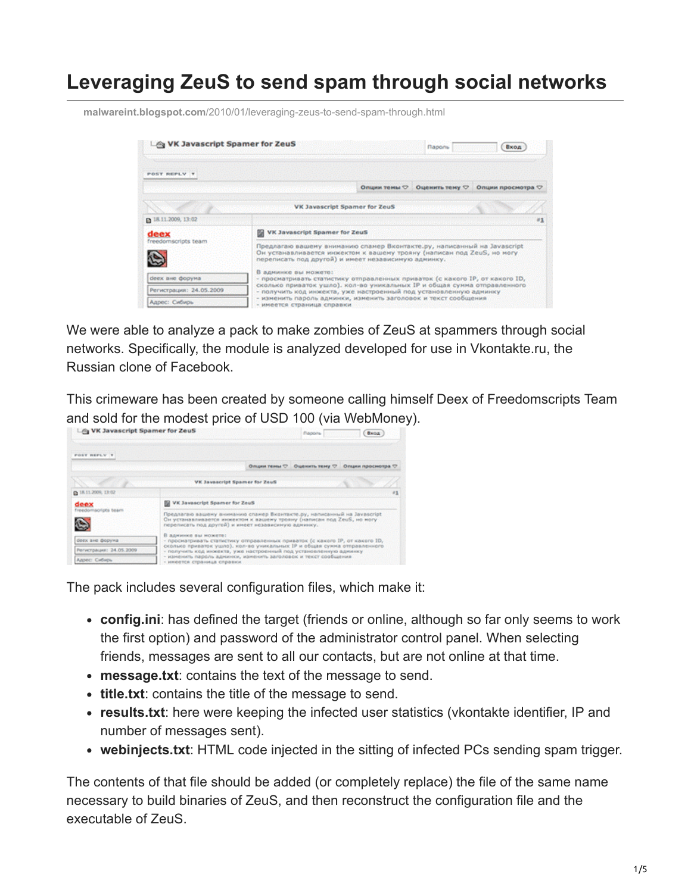## **Leveraging ZeuS to send spam through social networks**

**malwareint.blogspot.com**[/2010/01/leveraging-zeus-to-send-spam-through.html](http://malwareint.blogspot.com/2010/01/leveraging-zeus-to-send-spam-through.html)



We were able to analyze a pack to make zombies of ZeuS at spammers through social networks. Specifically, the module is analyzed developed for use in Vkontakte.ru, the Russian clone of Facebook.

This crimeware has been created by someone calling himself Deex of Freedomscripts Team and sold for the modest price of USD 100 (via WebMoney).

| Ley VK Javascript Spamer for ZeuS |                                                                                                                                                                                                          |  | Пароль | <b>Broad</b>                                   |
|-----------------------------------|----------------------------------------------------------------------------------------------------------------------------------------------------------------------------------------------------------|--|--------|------------------------------------------------|
| POST REFLY T                      |                                                                                                                                                                                                          |  |        |                                                |
|                                   |                                                                                                                                                                                                          |  |        | Опции техна - Оценить тему - Опции просмотра - |
|                                   | VK Javascript Spamer for Zeuß                                                                                                                                                                            |  |        |                                                |
| @ 18.11.2009, 13:02               |                                                                                                                                                                                                          |  |        | 81                                             |
| deex<br>freedomscripts team       | VK Javascript Spamer for ZeuS                                                                                                                                                                            |  |        |                                                |
|                                   | Предлагаю вашему вниманию спамер Вконтакте.ру, написанный на Javascript<br>Он устанавливается инжектом к вашему трояну (написан под ZeuS, но могу<br>переписать под другой) и имеет независимую админку. |  |        |                                                |
| deex are dopying                  | В админил вы можете:<br>- просматривать статистику отправленных приваток (с какого IP, от какого ID,                                                                                                     |  |        |                                                |
| Регистрация: 24.05.2009           | сколько приваток ушло), кол-во уникальных IP и общая сумма отправленного<br>- получить код инжекта, уже настроенный под установленную админку                                                            |  |        |                                                |
| Адрес: Сибирь                     | - изменять пароль админки, изменить заголовок и текст сообщения<br>- инеется страница справки                                                                                                            |  |        |                                                |

The pack includes several configuration files, which make it:

- **config.ini**: has defined the target (friends or online, although so far only seems to work the first option) and password of the administrator control panel. When selecting friends, messages are sent to all our contacts, but are not online at that time.
- **message.txt**: contains the text of the message to send.
- **title.txt**: contains the title of the message to send.
- **results.txt**: here were keeping the infected user statistics (vkontakte identifier, IP and number of messages sent).
- **webinjects.txt**: HTML code injected in the sitting of infected PCs sending spam trigger.

The contents of that file should be added (or completely replace) the file of the same name necessary to build binaries of ZeuS, and then reconstruct the configuration file and the executable of ZeuS.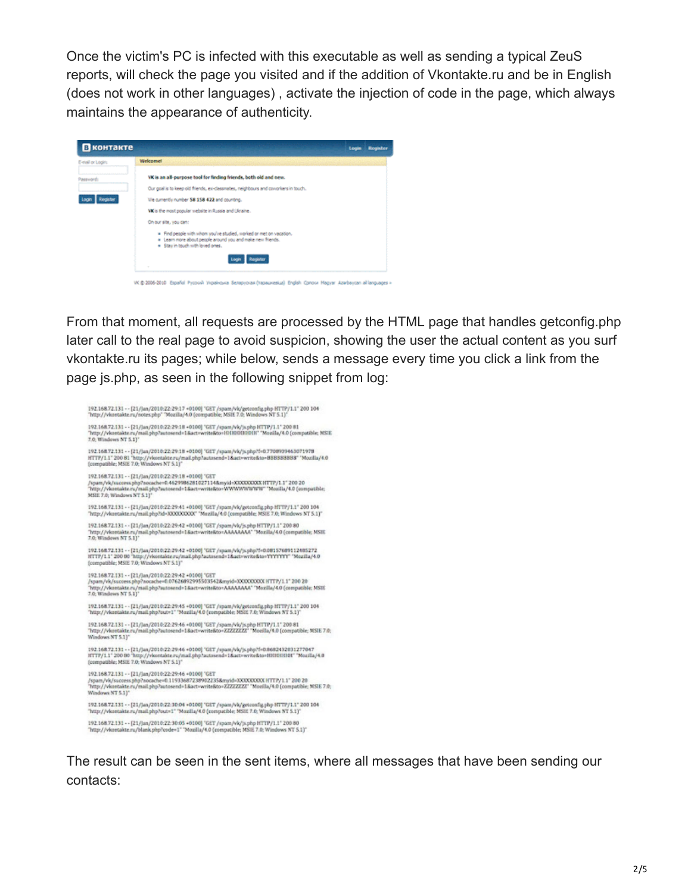Once the victim's PC is infected with this executable as well as sending a typical ZeuS reports, will check the page you visited and if the addition of Vkontakte.ru and be in English (does not work in other languages) , activate the injection of code in the page, which always maintains the appearance of authenticity.

| E-mail or Login:         | <b>Welcome!</b>                                                                                                                                                      |  |
|--------------------------|----------------------------------------------------------------------------------------------------------------------------------------------------------------------|--|
| Password:                | VK is an all-purpose tool for finding friends, both old and new.                                                                                                     |  |
|                          | Our goal is to keep old friends, ex-dassmates, neighbours and coviorisers in touch.                                                                                  |  |
| <b>Register</b><br>Locky | We currently number 58 158 422 and counting.                                                                                                                         |  |
|                          | Willis the most popular website in Russia and Ukraine.                                                                                                               |  |
|                          | On our site, you can:                                                                                                                                                |  |
|                          | = Find people with whom you've studied, worked or met on vacation.<br># Learn nore about people around you and nake new friends.<br>* Stay in touch with loved ones. |  |
|                          | Legin Register                                                                                                                                                       |  |

From that moment, all requests are processed by the HTML page that handles getconfig.php later call to the real page to avoid suspicion, showing the user the actual content as you surf vkontakte.ru its pages; while below, sends a message every time you click a link from the page js.php, as seen in the following snippet from log:

192.168.72.131 - - [21/jan/2010:22:29:17 +0100] "GET /spam/vk/getoonfig.php HTTP/1.1" 200 104<br>"http://vkontakte.ru/notes.php" "Mozilla/4.0 (compatible; MSIE 7.0; Windows NT 5.1)" 192.168.72.131 - - [21/jan/2010:22:29:18 - 0100] "GET /spam/vk/js.php HTTP/1.1" 200 81<br>"http://vkontakte.ru/mail.php?autosend=1&act=writeKto=10100010000" "Mozilla/4.0 (compatible; MSIE 7.0; Windows NT 5.1)\* 192.168.72.131 - - (21/jan/2010:22:29-18 - 0100) "GET /spam/vk/js.pbp?f=0.770893946.5071978<br>HTTP/1.1" 200 81 "http://vkontakte.ru/mail.php?autosend=1&act=write&to=BBBBBBBBB" "Mozilla/4.0 (compatible; MSIE 7.0; Windows NT 192.168.72.131 -- [21/jan/2010:22:29:18 +0100] 'GET s''s states and the state of the state of the state of the state of the state of the state of the state of the<br>/span/vk/saccess.php?nocache=0.4629986281027114&nyid=XXXXXXXXVW\*"Moxilla/4.0 (compatible; MSIE 7.0: Windows NT \$.11" 192.168.72.131 - - [21/lan/2010-22-29:41 +0100] "GET /spam/vk/getconfig.php HTTP/1.1" 200 104 "http://vkontakte.ru/mail.php?id=XXXXXXXXX" "Mozilla/4.0 (compatible: MSIE 7.0; Windows NT 5.1)" гидг, // wantanic.ru/man.pnp:na=ААААААААА — милли у ч.0 (compatible; MSic. 7.0; winnows в 1-8.1)<br>192.168.72.131 - - (21./lan/2010:22:29-42 =0100) "GET /spam/vk/js.php HTTP/1.1" 200-80<br>"http://wantakte.ru/mal/php?astssend 192.168.72.131 - - [21/jan/2010:22:29:42 -0100] "GET /spam/vk/js.php?f=0.08157689112485272<br>HTTP/1.1" 200 00 "http://vkostakte.ru/mail.php?actosend=1&act=write&to=YYYYYY" "Mozilla/4.0 (compatible; MSE 7.0; Windows NT 5.1)" 192.168.72.131 -- [21/Jan/2010:22:29-42 +0100] "GET<br>/spam/vk/success.php?nocache=0.07626892995503542&myid=XXXXXXXXXITTP/1.1"200 20 "http://vkontakte.ru/mail.php?autosend=1&act=write&to=AAAAAAAA<sup>+</sup>"Mozilla/4.0 (compatible; MSIE 7.0; Windows NT 5.1)" 192.168.72.131 - - [21/jan/2010:22:29:45 +0100] "GET /spam/vk/getconfig.php HTTP/1.1" 200 104<br>"http://vkontakte.ru/mail.php?out=1" "Mozilla/4.0 (compatible: MSIE 7.0; Windows NT 5.1)" 192.168.72.131 - - [21/jan/2010:22:29:46 +0100] "GET /spam/vk/js.php HTTP/1.1" 200 81<br>"http://vkontakte.ru/mail.php?actosend=1&act=write&to=ZZZZZZZZ" "Mezilla/4.0 [compatible; MSIE 7.0; "http://vkontakte<br>Windows NT 5.1)" 192.168.72.131 - - [21/Jan/2010:22:29:46 - 0100] "GET /spam/vk/js.php?f=0.8682432031277047<br>HTTP/1.1" 200 80 "http://vkontakte.ru/mail.php?actosend=1&act=wrke&to=H0HBHHH" "Mozilla/4.0<br>{compatible; MSIE 7.0; Windows NT 5.1} 192.168.72.131 -- [21/jan/2010-22-29:46 +0100] "GET 192.168.72.131 - - [21/jan/2010:22:29:46 - 0100] "GET<br>/span/Myloscores.php?nocache=0.11933687238902235&myid=NXXXXXXOXOX HTTP/1.1" 200 20<br>"http://wkontakte.ru/mail.php?astosend=1&act=write&to=ZZZZZZZZ" "Mozila/4.0 [compatib 192.168.72.131 - - [21/Jan/2010:22:30:04 +0100] "GET /spam/vk/getoonfig.php HTTP/1.1" 200 104<br>"http://vkontakte.ru/mail.php?out=1" "Mozilla/4.0 (compatible; MSIE 7.0; Windows NT 5.1)" 192.168.72.131 - - [21/jan/2010:22:30:05 +0100] "GET / spam/vk/js.php HTTP/1.1" 200 80<br>"http://vkontakte.ru/blank.php?code=1" 'Mozilla/4.0 (compatible; MSIE 7.0; Windows NT 5.1)"

The result can be seen in the sent items, where all messages that have been sending our contacts: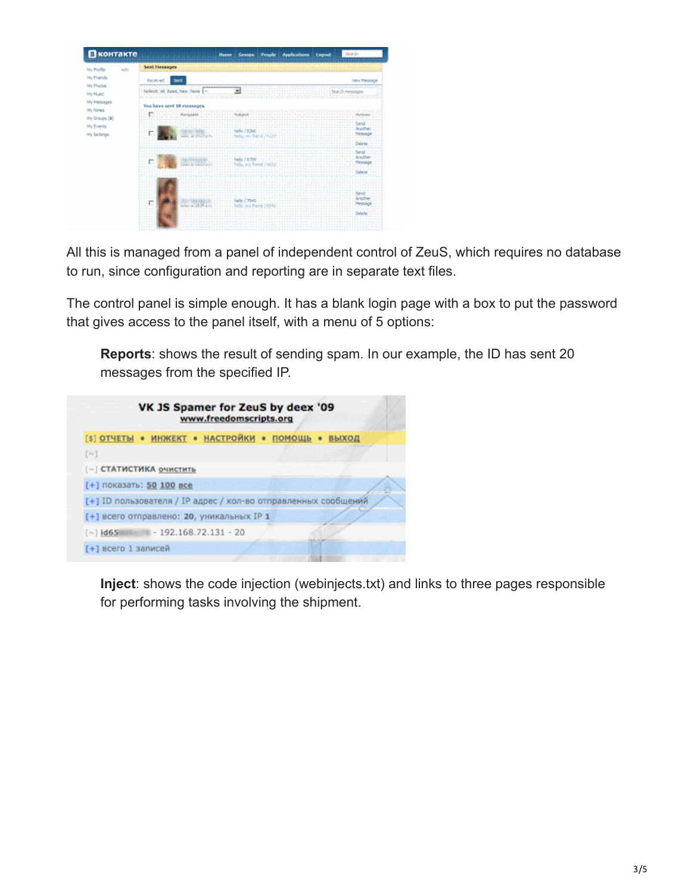| Ny hiofie<br>edit.                         | Sent Hessages                                                                      |           |                    |
|--------------------------------------------|------------------------------------------------------------------------------------|-----------|--------------------|
| My Frends<br>My Photos<br><b>Ply Music</b> | Received                                                                           |           | <b>New Message</b> |
|                                            | Select: Al, Read, New, None  -<br>NNN VOOR VOOR GEBOU                              |           | Staighmessages     |
| My Messages                                | You have sent 18 messages.                                                         |           |                    |
| My Notes<br>My Groups (6)                  |                                                                                    |           |                    |
| <b>My Events</b><br>My Settings            |                                                                                    | a kekeen. |                    |
|                                            |                                                                                    |           | いかいきょうふん           |
|                                            | .<br>which is a solid army<br><b></b>                                              |           |                    |
|                                            |                                                                                    |           |                    |
|                                            | <b>VINY</b><br><b>ENVIRON</b><br><b>CENTER</b><br>布局<br>today at 10.<br>- - -<br>. | .         |                    |
|                                            |                                                                                    |           |                    |

All this is managed from a panel of independent control of ZeuS, which requires no database to run, since configuration and reporting are in separate text files.

The control panel is simple enough. It has a blank login page with a box to put the password that gives access to the panel itself, with a menu of 5 options:

**Reports**: shows the result of sending spam. In our example, the ID has sent 20 messages from the specified IP.

|                                             | [\$] ОТЧЕТЫ • ИНЖЕКТ • НАСТРОЙКИ • ПОМОЩЬ • ВЫХОД              |
|---------------------------------------------|----------------------------------------------------------------|
| $[\sim]$                                    |                                                                |
| [~] <b>СТАТИСТИКА ОЧИСТИТЬ</b>              |                                                                |
| [+] показать: 50 100 все                    |                                                                |
|                                             | [+] ID пользователя / IP адрес / кол-во отправленных сообщений |
| [+] всего отправлено: 20, уникальных IP 1   |                                                                |
| $\pm$ - 192.168.72.131 - 20<br>$\sim$ id 65 |                                                                |
| [+] всего 1 записей                         |                                                                |

**Inject**: shows the code injection (webinjects.txt) and links to three pages responsible for performing tasks involving the shipment.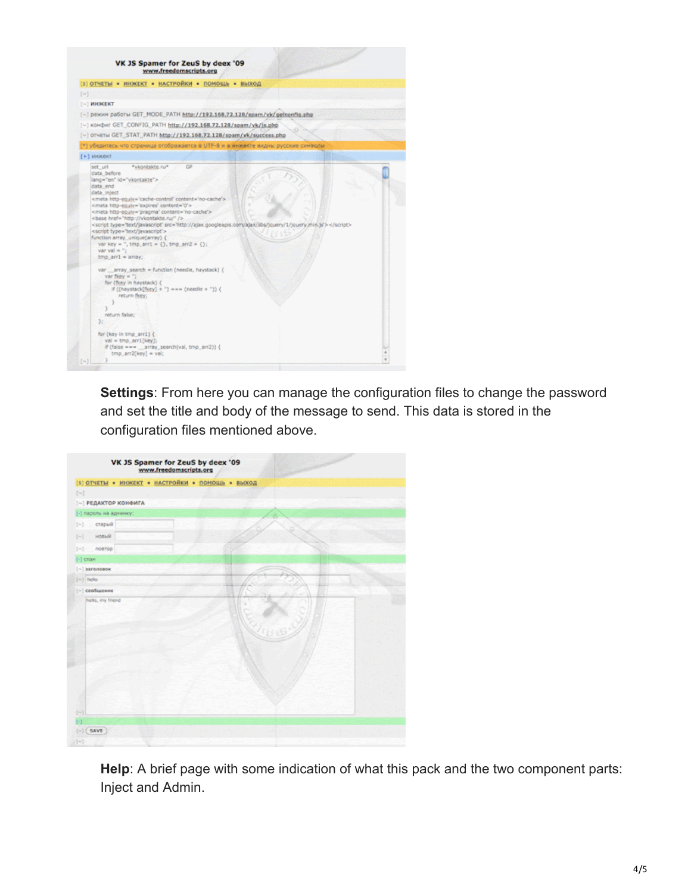

**Settings**: From here you can manage the configuration files to change the password and set the title and body of the message to send. This data is stored in the configuration files mentioned above.

|                                                                                                                                                                                                                                                                                                                                                                                                                                                                                                                                                                             | [5] ОТЧЕТЫ • ИНЖЕКТ • НАСТРОЙКИ • ПОМОЩЬ • ВЫХОД |
|-----------------------------------------------------------------------------------------------------------------------------------------------------------------------------------------------------------------------------------------------------------------------------------------------------------------------------------------------------------------------------------------------------------------------------------------------------------------------------------------------------------------------------------------------------------------------------|--------------------------------------------------|
| $\left\{ \left. \left. \left. \left. \left. \left. \left. \left. \left. \left. \right. \right. \right. \right. \right. \right. \right. \right. \left. \left. \left. \left. \left. \right. \right. \right. \right. \right. \left. \left. \left. \left. \right. \right. \right. \left. \left. \left. \left. \right. \right. \right. \right. \left. \left. \left. \left. \left. \left. \left. \right. \right. \right. \right. \right. \right. \right. \left. \left. \left. \left. \left. \left. \left. \left. \left. \left. \left. \right. \right. \right. \right.$            |                                                  |
| (-) РЕДАКТОР КОНФИГА                                                                                                                                                                                                                                                                                                                                                                                                                                                                                                                                                        |                                                  |
| (-) пароль на аднинку:                                                                                                                                                                                                                                                                                                                                                                                                                                                                                                                                                      |                                                  |
| старый<br>$[-]$                                                                                                                                                                                                                                                                                                                                                                                                                                                                                                                                                             |                                                  |
| новый<br>$\left[ \left. \left. \left. \left. \left. \left. \left. \left. \left. \right. \right. \right. \right. \right. \right. \right. \left. \left. \left. \left. \right. \right. \right. \right. \left. \left. \left. \right. \right. \right. \left. \left. \left. \right. \right. \left. \left. \left. \right. \right. \right. \left. \left. \left. \left. \right. \right. \right. \left. \left. \left. \right. \right. \right. \left. \left. \right. \right. \left. \left. \left. \left. \left. \left. \left. \right. \right. \right. \right. \right. \left. \left. \$ |                                                  |
| nostrop<br>$[-1]$                                                                                                                                                                                                                                                                                                                                                                                                                                                                                                                                                           |                                                  |
| $\lceil \cdot \rceil$ спан                                                                                                                                                                                                                                                                                                                                                                                                                                                                                                                                                  |                                                  |
| $\left[\cdots\right]$ заголовок                                                                                                                                                                                                                                                                                                                                                                                                                                                                                                                                             |                                                  |
| $[-]$ help                                                                                                                                                                                                                                                                                                                                                                                                                                                                                                                                                                  |                                                  |
| $[-]$ coofuseness                                                                                                                                                                                                                                                                                                                                                                                                                                                                                                                                                           |                                                  |
|                                                                                                                                                                                                                                                                                                                                                                                                                                                                                                                                                                             |                                                  |
|                                                                                                                                                                                                                                                                                                                                                                                                                                                                                                                                                                             |                                                  |

**Help**: A brief page with some indication of what this pack and the two component parts: Inject and Admin.